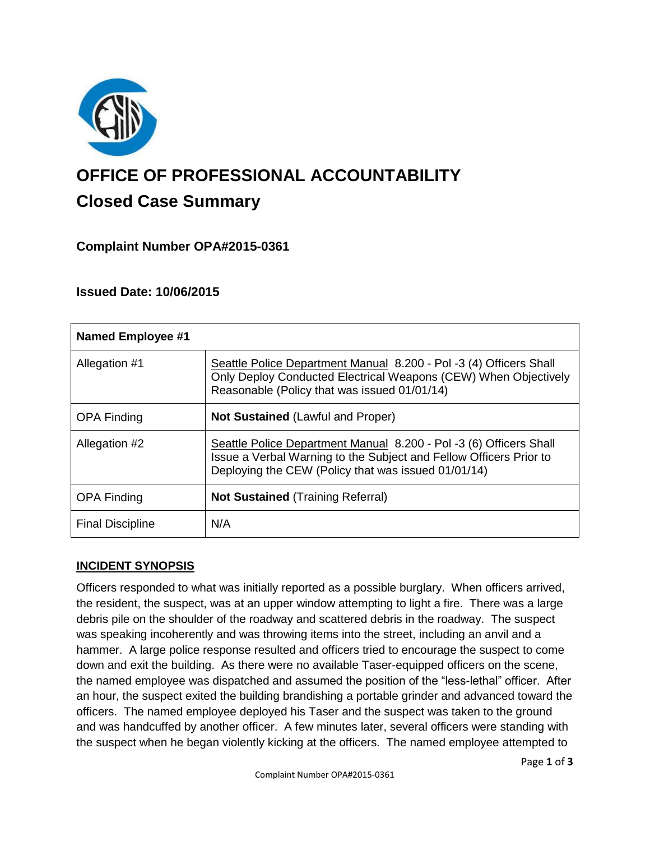

# **OFFICE OF PROFESSIONAL ACCOUNTABILITY Closed Case Summary**

# **Complaint Number OPA#2015-0361**

## **Issued Date: 10/06/2015**

| <b>Named Employee #1</b> |                                                                                                                                                                                                 |
|--------------------------|-------------------------------------------------------------------------------------------------------------------------------------------------------------------------------------------------|
| Allegation #1            | Seattle Police Department Manual 8.200 - Pol -3 (4) Officers Shall<br>Only Deploy Conducted Electrical Weapons (CEW) When Objectively<br>Reasonable (Policy that was issued 01/01/14)           |
| <b>OPA Finding</b>       | <b>Not Sustained (Lawful and Proper)</b>                                                                                                                                                        |
| Allegation #2            | Seattle Police Department Manual 8.200 - Pol -3 (6) Officers Shall<br>Issue a Verbal Warning to the Subject and Fellow Officers Prior to<br>Deploying the CEW (Policy that was issued 01/01/14) |
| <b>OPA Finding</b>       | <b>Not Sustained (Training Referral)</b>                                                                                                                                                        |
| <b>Final Discipline</b>  | N/A                                                                                                                                                                                             |

# **INCIDENT SYNOPSIS**

Officers responded to what was initially reported as a possible burglary. When officers arrived, the resident, the suspect, was at an upper window attempting to light a fire. There was a large debris pile on the shoulder of the roadway and scattered debris in the roadway. The suspect was speaking incoherently and was throwing items into the street, including an anvil and a hammer. A large police response resulted and officers tried to encourage the suspect to come down and exit the building. As there were no available Taser-equipped officers on the scene, the named employee was dispatched and assumed the position of the "less-lethal" officer. After an hour, the suspect exited the building brandishing a portable grinder and advanced toward the officers. The named employee deployed his Taser and the suspect was taken to the ground and was handcuffed by another officer. A few minutes later, several officers were standing with the suspect when he began violently kicking at the officers. The named employee attempted to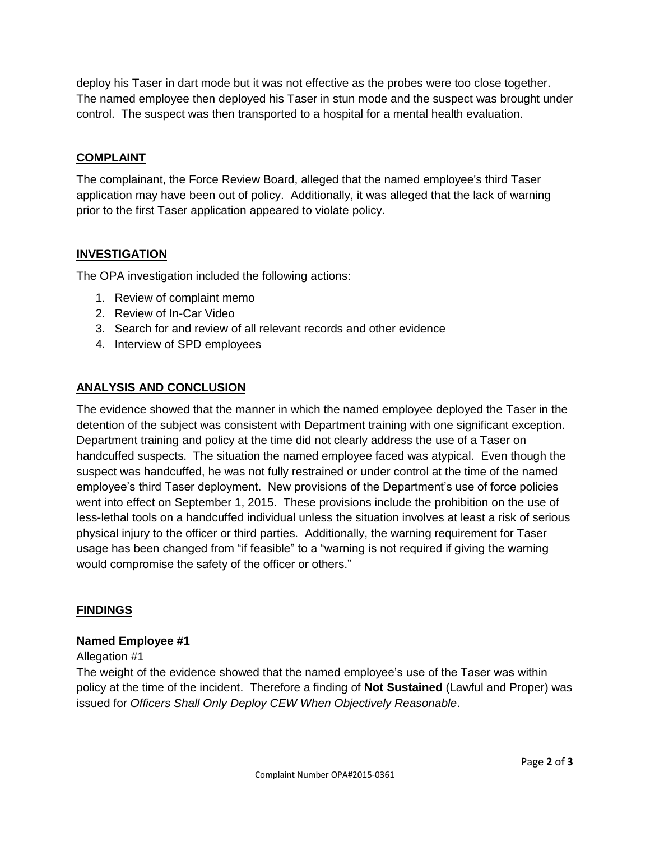deploy his Taser in dart mode but it was not effective as the probes were too close together. The named employee then deployed his Taser in stun mode and the suspect was brought under control. The suspect was then transported to a hospital for a mental health evaluation.

## **COMPLAINT**

The complainant, the Force Review Board, alleged that the named employee's third Taser application may have been out of policy. Additionally, it was alleged that the lack of warning prior to the first Taser application appeared to violate policy.

### **INVESTIGATION**

The OPA investigation included the following actions:

- 1. Review of complaint memo
- 2. Review of In-Car Video
- 3. Search for and review of all relevant records and other evidence
- 4. Interview of SPD employees

#### **ANALYSIS AND CONCLUSION**

The evidence showed that the manner in which the named employee deployed the Taser in the detention of the subject was consistent with Department training with one significant exception. Department training and policy at the time did not clearly address the use of a Taser on handcuffed suspects. The situation the named employee faced was atypical. Even though the suspect was handcuffed, he was not fully restrained or under control at the time of the named employee's third Taser deployment. New provisions of the Department's use of force policies went into effect on September 1, 2015. These provisions include the prohibition on the use of less-lethal tools on a handcuffed individual unless the situation involves at least a risk of serious physical injury to the officer or third parties. Additionally, the warning requirement for Taser usage has been changed from "if feasible" to a "warning is not required if giving the warning would compromise the safety of the officer or others."

#### **FINDINGS**

#### **Named Employee #1**

#### Allegation #1

The weight of the evidence showed that the named employee's use of the Taser was within policy at the time of the incident. Therefore a finding of **Not Sustained** (Lawful and Proper) was issued for *Officers Shall Only Deploy CEW When Objectively Reasonable*.